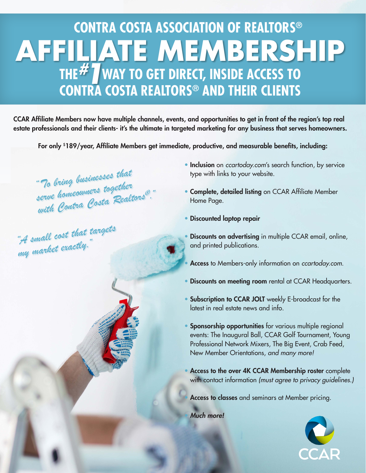## **AFFILIATE MEMBERSHIP THE<sup>#</sup>** way to get direct, inside access to **CONTRA COSTA REALTORS® AND THEIR CLIENTS CONTRA COSTA ASSOCIATION OF REALTORS®**

CCAR Affiliate Members now have multiple channels, events, and opportunities to get in front of the region's top real estate professionals and their clients- it's the ultimate in targeted marketing for any business that serves homeowners.

For only \$189/year, Affiliate Members get immediate, productive, and measurable benefits, including:

*"To bring businesses that serve homeowners together with Contra Costa Realtors*®*."*

*"A small cost that targets my market exactly."*

- Inclusion on *ccartoday.com*'s search function, by service type with links to your website.
- Complete, detailed listing on CCAR Affiliate Member Home Page.
- Discounted laptop repair
- **Discounts on advertising** in multiple CCAR email, online, and printed publications.
- Access to Members-only information on *ccartoday.com.*
- Discounts on meeting room rental at CCAR Headquarters.
- Subscription to CCAR JOLT weekly E-broadcast for the latest in real estate news and info.
- Sponsorship opportunities for various multiple regional events: The Inaugural Ball, CCAR Golf Tournament, Young Professional Network Mixers, The Big Event, Crab Feed, New Member Orientations, *and many more!*
- Access to the over 4K CCAR Membership roster complete with contact information *(must agree to privacy guidelines.)*

Access to classes and seminars at Member pricing.

• *Much more!*